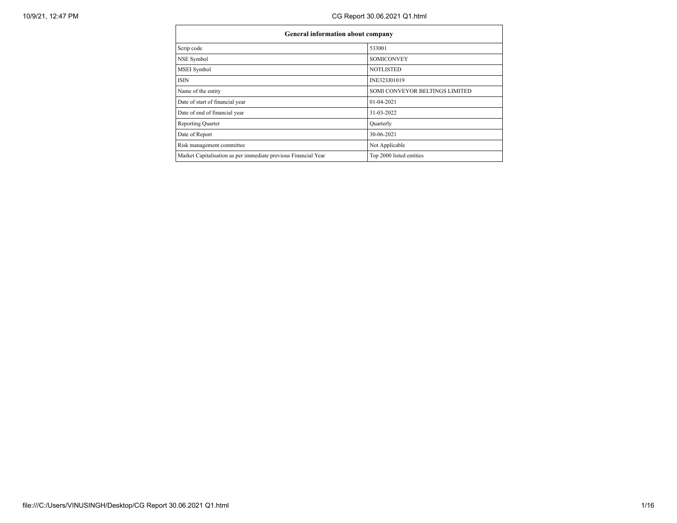| <b>General information about company</b>                       |                                |  |  |  |  |  |  |
|----------------------------------------------------------------|--------------------------------|--|--|--|--|--|--|
| Scrip code                                                     | 533001                         |  |  |  |  |  |  |
| NSE Symbol                                                     | <b>SOMICONVEY</b>              |  |  |  |  |  |  |
| <b>MSEI</b> Symbol                                             | <b>NOTLISTED</b>               |  |  |  |  |  |  |
| <b>ISIN</b>                                                    | INE323J01019                   |  |  |  |  |  |  |
| Name of the entity                                             | SOMI CONVEYOR BELTINGS LIMITED |  |  |  |  |  |  |
| Date of start of financial year                                | 01-04-2021                     |  |  |  |  |  |  |
| Date of end of financial year                                  | 31-03-2022                     |  |  |  |  |  |  |
| Reporting Quarter                                              | Quarterly                      |  |  |  |  |  |  |
| Date of Report                                                 | 30-06-2021                     |  |  |  |  |  |  |
| Risk management committee                                      | Not Applicable                 |  |  |  |  |  |  |
| Market Capitalisation as per immediate previous Financial Year | Top 2000 listed entities       |  |  |  |  |  |  |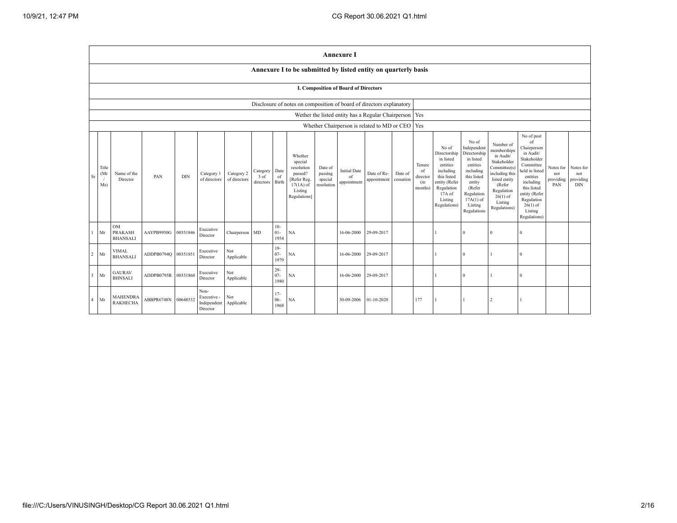|                |                                             |                                                |                     |            |                                                |                            |                               |                          |                                                                                                      |                                             | <b>Annexure I</b>                        |                                                          |                      |                                            |                                                                                                                                                |                                                                                                                                                                      |                                                                                                                                                                          |                                                                                                                                                                                                            |                                      |                                             |
|----------------|---------------------------------------------|------------------------------------------------|---------------------|------------|------------------------------------------------|----------------------------|-------------------------------|--------------------------|------------------------------------------------------------------------------------------------------|---------------------------------------------|------------------------------------------|----------------------------------------------------------|----------------------|--------------------------------------------|------------------------------------------------------------------------------------------------------------------------------------------------|----------------------------------------------------------------------------------------------------------------------------------------------------------------------|--------------------------------------------------------------------------------------------------------------------------------------------------------------------------|------------------------------------------------------------------------------------------------------------------------------------------------------------------------------------------------------------|--------------------------------------|---------------------------------------------|
|                |                                             |                                                |                     |            |                                                |                            |                               |                          | Annexure I to be submitted by listed entity on quarterly basis                                       |                                             |                                          |                                                          |                      |                                            |                                                                                                                                                |                                                                                                                                                                      |                                                                                                                                                                          |                                                                                                                                                                                                            |                                      |                                             |
|                | <b>I. Composition of Board of Directors</b> |                                                |                     |            |                                                |                            |                               |                          |                                                                                                      |                                             |                                          |                                                          |                      |                                            |                                                                                                                                                |                                                                                                                                                                      |                                                                                                                                                                          |                                                                                                                                                                                                            |                                      |                                             |
|                |                                             |                                                |                     |            |                                                |                            |                               |                          | Disclosure of notes on composition of board of directors explanatory                                 |                                             |                                          |                                                          |                      |                                            |                                                                                                                                                |                                                                                                                                                                      |                                                                                                                                                                          |                                                                                                                                                                                                            |                                      |                                             |
|                |                                             |                                                |                     |            |                                                |                            |                               |                          |                                                                                                      |                                             |                                          | Wether the listed entity has a Regular Chairperson   Yes |                      |                                            |                                                                                                                                                |                                                                                                                                                                      |                                                                                                                                                                          |                                                                                                                                                                                                            |                                      |                                             |
|                |                                             |                                                |                     |            |                                                |                            |                               |                          |                                                                                                      |                                             |                                          | Whether Chairperson is related to MD or CEO   Yes        |                      |                                            |                                                                                                                                                |                                                                                                                                                                      |                                                                                                                                                                          |                                                                                                                                                                                                            |                                      |                                             |
| Sr             | Title<br>(Mr<br>Ms)                         | Name of the<br>Director                        | PAN                 | <b>DIN</b> | Category 1<br>of directors                     | Category 2<br>of directors | Category<br>3 of<br>directors | Date<br>of<br>Birth      | Whether<br>special<br>resolution<br>passed?<br>[Refer Reg.<br>$17(1A)$ of<br>Listing<br>Regulations] | Date of<br>passing<br>special<br>resolution | <b>Initial Date</b><br>of<br>appointment | Date of Re-<br>appointment                               | Date of<br>cessation | Tenure<br>of<br>director<br>(in<br>months) | No of<br>Directorship<br>in listed<br>entities<br>including<br>this listed<br>entity (Refer<br>Regulation<br>17A of<br>Listing<br>Regulations) | No of<br>Independent<br>Directorship<br>in listed<br>entities<br>including<br>this listed<br>entity<br>(Refer<br>Regulation<br>$17A(1)$ of<br>Listing<br>Regulations | Number of<br>memberships<br>in Audit/<br>Stakeholder<br>Committee(s)<br>including this<br>listed entity<br>(Refer<br>Regulation<br>$26(1)$ of<br>Listing<br>Regulations) | No of post<br>of<br>Chairperson<br>in Audit/<br>Stakeholder<br>Committee<br>held in listed<br>entities<br>including<br>this listed<br>entity (Refer<br>Regulation<br>$26(1)$ of<br>Listing<br>Regulations) | Notes for<br>not<br>providing<br>PAN | Notes for<br>not<br>providing<br><b>DIN</b> |
| 1              | Mr                                          | <b>OM</b><br><b>PRAKASH</b><br><b>BHANSALI</b> | AAYPB9950G          | 00351846   | Executive<br>Director                          | Chairperson MD             |                               | $10-$<br>$01 -$<br>1954  | NA                                                                                                   |                                             | 16-06-2000                               | 29-09-2017                                               |                      |                                            |                                                                                                                                                | $\Omega$                                                                                                                                                             | $\mathbf{0}$                                                                                                                                                             | $\Omega$                                                                                                                                                                                                   |                                      |                                             |
| $\sqrt{2}$     | Mr                                          | <b>VIMAL</b><br><b>BHANSALI</b>                | ADDPB0794Q 00351851 |            | Executive<br>Director                          | Not<br>Applicable          |                               | $19-$<br>$07 -$<br>1979  | <b>NA</b>                                                                                            |                                             | 16-06-2000                               | 29-09-2017                                               |                      |                                            |                                                                                                                                                | $\Omega$                                                                                                                                                             |                                                                                                                                                                          | $\Omega$                                                                                                                                                                                                   |                                      |                                             |
| 3              | Mr                                          | <b>GAURAV</b><br><b>BHNSALI</b>                | ADDPB0795R          | 00351860   | Executive<br>Director                          | Not<br>Applicable          |                               | $29 -$<br>$07 -$<br>1980 | NA                                                                                                   |                                             | 16-06-2000                               | 29-09-2017                                               |                      |                                            |                                                                                                                                                | $\Omega$                                                                                                                                                             |                                                                                                                                                                          | $\Omega$                                                                                                                                                                                                   |                                      |                                             |
| $\overline{4}$ | Mr                                          | <b>MAHENDRA</b><br><b>RAKHECHA</b>             | ABBPR6748N          | 00648532   | Non-<br>Executive -<br>Independent<br>Director | Not<br>Applicable          |                               | $17-$<br>$06-$<br>1968   | NA                                                                                                   |                                             | 30-09-2006                               | $01 - 10 - 2020$                                         |                      | 177                                        | $\mathbf{1}$                                                                                                                                   |                                                                                                                                                                      | $\overline{2}$                                                                                                                                                           |                                                                                                                                                                                                            |                                      |                                             |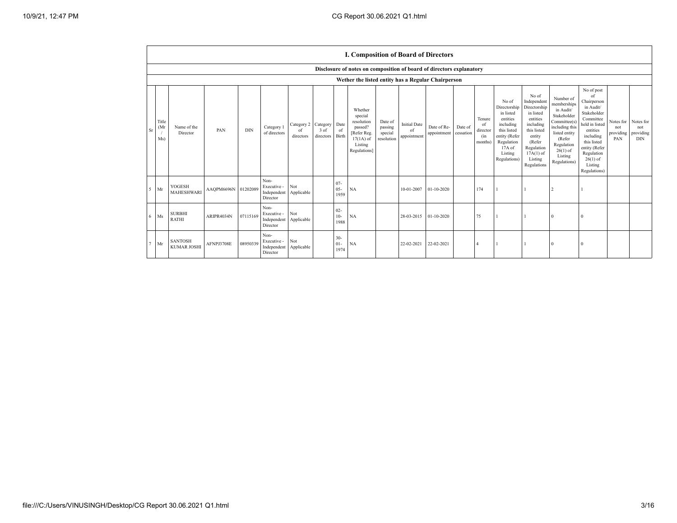|                  |                                      |                     |            |                                                           |                               |                               |                          | <b>I. Composition of Board of Directors</b>                                                          |                                             |                                          |                            |                      |                                            |                                                                                                                                                |                                                                                                                                                                      |                                                                                                                                                                          |                                                                                                                                                                                                            |                                      |                                               |
|------------------|--------------------------------------|---------------------|------------|-----------------------------------------------------------|-------------------------------|-------------------------------|--------------------------|------------------------------------------------------------------------------------------------------|---------------------------------------------|------------------------------------------|----------------------------|----------------------|--------------------------------------------|------------------------------------------------------------------------------------------------------------------------------------------------|----------------------------------------------------------------------------------------------------------------------------------------------------------------------|--------------------------------------------------------------------------------------------------------------------------------------------------------------------------|------------------------------------------------------------------------------------------------------------------------------------------------------------------------------------------------------------|--------------------------------------|-----------------------------------------------|
|                  |                                      |                     |            |                                                           |                               |                               |                          | Disclosure of notes on composition of board of directors explanatory                                 |                                             |                                          |                            |                      |                                            |                                                                                                                                                |                                                                                                                                                                      |                                                                                                                                                                          |                                                                                                                                                                                                            |                                      |                                               |
|                  |                                      |                     |            |                                                           |                               |                               |                          | Wether the listed entity has a Regular Chairperson                                                   |                                             |                                          |                            |                      |                                            |                                                                                                                                                |                                                                                                                                                                      |                                                                                                                                                                          |                                                                                                                                                                                                            |                                      |                                               |
| (Mr<br>Sr<br>Ms) | Title<br>Name of the<br>Director     | PAN                 | <b>DIN</b> | Category 1<br>of directors                                | Category 2<br>of<br>directors | Category<br>3 of<br>directors | Date<br>of<br>Birth      | Whether<br>special<br>resolution<br>passed?<br>[Refer Reg.<br>$17(1A)$ of<br>Listing<br>Regulations] | Date of<br>passing<br>special<br>resolution | <b>Initial Date</b><br>of<br>appointment | Date of Re-<br>appointment | Date of<br>cessation | Tenure<br>of<br>director<br>(in<br>months) | No of<br>Directorship<br>in listed<br>entities<br>including<br>this listed<br>entity (Refer<br>Regulation<br>17A of<br>Listing<br>Regulations) | No of<br>Independent<br>Directorship<br>in listed<br>entities<br>including<br>this listed<br>entity<br>(Refer<br>Regulation<br>$17A(1)$ of<br>Listing<br>Regulations | Number of<br>memberships<br>in Audit/<br>Stakeholder<br>Committee(s)<br>including this<br>listed entity<br>(Refer<br>Regulation<br>$26(1)$ of<br>Listing<br>Regulations) | No of post<br>of<br>Chairperson<br>in Audit/<br>Stakeholder<br>Committee<br>held in listed<br>entities<br>including<br>this listed<br>entity (Refer<br>Regulation<br>$26(1)$ of<br>Listing<br>Regulations) | Notes for<br>not<br>providing<br>PAN | Notes for<br>not<br>providing  <br><b>DIN</b> |
| $5$ Mr           | YOGESH<br><b>MAHESHWARI</b>          | AAQPM6696N 01202089 |            | Non-<br>Executive -<br>Independent Applicable<br>Director | Not                           |                               | $07 -$<br>$05 -$<br>1959 | NA                                                                                                   |                                             | 10-01-2007                               | 01-10-2020                 |                      | 174                                        |                                                                                                                                                |                                                                                                                                                                      |                                                                                                                                                                          |                                                                                                                                                                                                            |                                      |                                               |
| $6$ Ms           | <b>SURBHI</b><br><b>RATHI</b>        | ARIPR4034N          | 07115169   | Non-<br>Executive -<br>Independent Applicable<br>Director | Not                           |                               | $02 -$<br>$10-$<br>1988  | NA                                                                                                   |                                             | 28-03-2015                               | 01-10-2020                 |                      | 75                                         |                                                                                                                                                |                                                                                                                                                                      | $\Omega$                                                                                                                                                                 |                                                                                                                                                                                                            |                                      |                                               |
| $7$ Mr           | <b>SANTOSH</b><br><b>KUMAR JOSHI</b> | AFNPJ3708E          | 08950339   | Non-<br>Executive -<br>Independent<br>Director            | Not<br>Applicable             |                               | $30 -$<br>$01 -$<br>1974 | NA                                                                                                   |                                             | 22-02-2021                               | 22-02-2021                 |                      |                                            |                                                                                                                                                |                                                                                                                                                                      | $\Omega$                                                                                                                                                                 | $\Omega$                                                                                                                                                                                                   |                                      |                                               |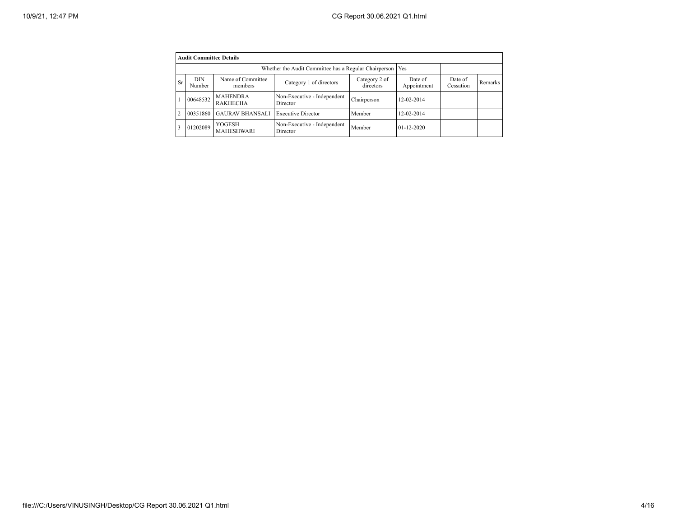|                | <b>Audit Committee Details</b>                                                                                |                             |                                         |            |                        |                      |         |  |  |  |  |
|----------------|---------------------------------------------------------------------------------------------------------------|-----------------------------|-----------------------------------------|------------|------------------------|----------------------|---------|--|--|--|--|
|                |                                                                                                               |                             |                                         |            |                        |                      |         |  |  |  |  |
| Sr             | Name of Committee<br><b>DIN</b><br>Category 2 of<br>Category 1 of directors<br>directors<br>Number<br>members |                             |                                         |            | Date of<br>Appointment | Date of<br>Cessation | Remarks |  |  |  |  |
|                | <b>MAHENDRA</b><br>Non-Executive - Independent<br>00648532<br><b>RAKHECHA</b><br>Director                     |                             | Chairperson                             | 12-02-2014 |                        |                      |         |  |  |  |  |
| $\overline{c}$ | 00351860                                                                                                      | <b>GAURAV BHANSALI</b>      | <b>Executive Director</b>               | Member     | 12-02-2014             |                      |         |  |  |  |  |
| 3              | 01202089                                                                                                      | YOGESH<br><b>MAHESHWARI</b> | Non-Executive - Independent<br>Director | Member     | $01 - 12 - 2020$       |                      |         |  |  |  |  |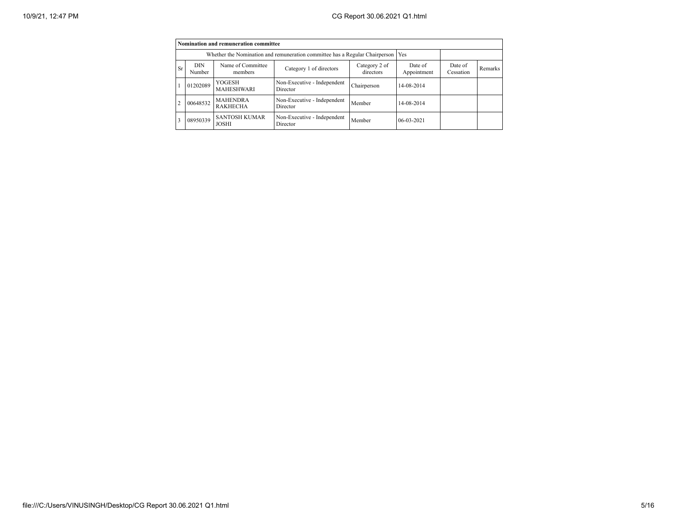|                |                                                                                                        | Nomination and remuneration committee |                                         |             |              |                      |         |
|----------------|--------------------------------------------------------------------------------------------------------|---------------------------------------|-----------------------------------------|-------------|--------------|----------------------|---------|
|                | Whether the Nomination and remuneration committee has a Regular Chairperson                            |                                       |                                         |             |              |                      |         |
| <b>Sr</b>      | Name of Committee<br>DIN<br>Category 2 of<br>Category 1 of directors<br>directors<br>Number<br>members |                                       |                                         |             |              | Date of<br>Cessation | Remarks |
|                | 01202089                                                                                               | YOGESH<br>MAHESHWARI                  | Non-Executive - Independent<br>Director | Chairperson | 14-08-2014   |                      |         |
| $\overline{c}$ | 00648532                                                                                               | <b>MAHENDRA</b><br><b>RAKHECHA</b>    | Non-Executive - Independent<br>Director | Member      | 14-08-2014   |                      |         |
| 3              | 08950339                                                                                               | <b>SANTOSH KUMAR</b><br><b>JOSHI</b>  | Non-Executive - Independent<br>Director | Member      | $06-03-2021$ |                      |         |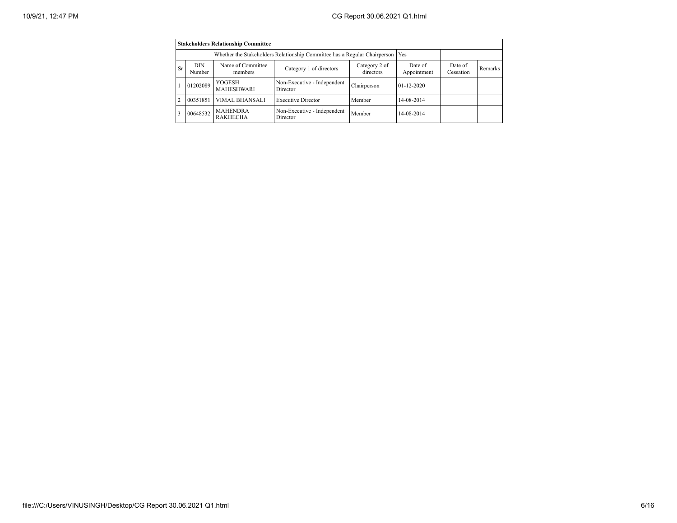|                                                                                                                            | <b>Stakeholders Relationship Committee</b> |                                    |                                         |             |                        |                      |         |  |  |  |
|----------------------------------------------------------------------------------------------------------------------------|--------------------------------------------|------------------------------------|-----------------------------------------|-------------|------------------------|----------------------|---------|--|--|--|
|                                                                                                                            |                                            |                                    |                                         |             |                        |                      |         |  |  |  |
| Name of Committee<br>Category 2 of<br><b>DIN</b><br><b>Sr</b><br>Category 1 of directors<br>directors<br>Number<br>members |                                            |                                    |                                         |             | Date of<br>Appointment | Date of<br>Cessation | Remarks |  |  |  |
|                                                                                                                            | 01202089                                   | YOGESH<br>MAHESHWARI               | Non-Executive - Independent<br>Director | Chairperson | $01 - 12 - 2020$       |                      |         |  |  |  |
| $\overline{2}$                                                                                                             | 00351851                                   | <b>VIMAL BHANSALI</b>              | <b>Executive Director</b>               | Member      | 14-08-2014             |                      |         |  |  |  |
| 3                                                                                                                          | 00648532                                   | <b>MAHENDRA</b><br><b>RAKHECHA</b> | Non-Executive - Independent<br>Director | Member      | 14-08-2014             |                      |         |  |  |  |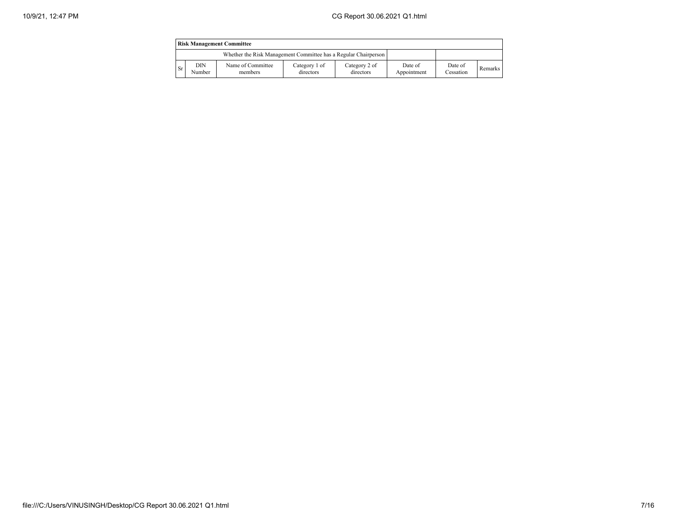| <b>Risk Management Committee</b> |               |                                                                 |                            |                            |                        |                      |         |  |
|----------------------------------|---------------|-----------------------------------------------------------------|----------------------------|----------------------------|------------------------|----------------------|---------|--|
|                                  |               | Whether the Risk Management Committee has a Regular Chairperson |                            |                            |                        |                      |         |  |
| <b>Sr</b>                        | DIN<br>Number | Name of Committee<br>members                                    | Category 1 of<br>directors | Category 2 of<br>directors | Date of<br>Appointment | Date of<br>Cessation | Remarks |  |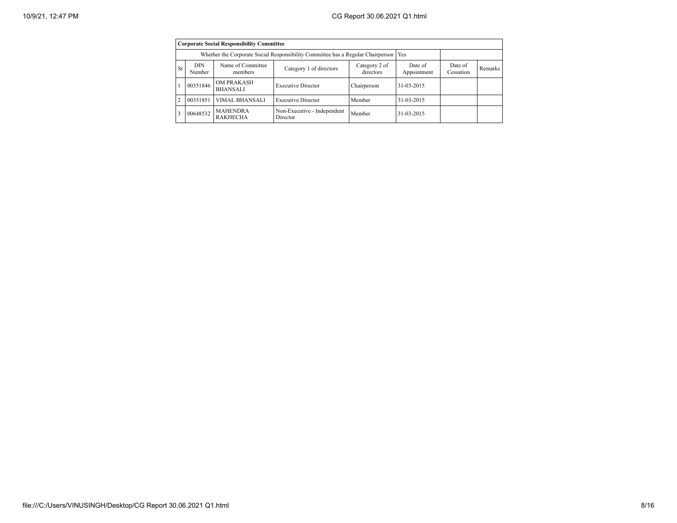|                | <b>Corporate Social Responsibility Committee</b>                                                              |                                      |                                         |             |            |                      |                |  |  |  |
|----------------|---------------------------------------------------------------------------------------------------------------|--------------------------------------|-----------------------------------------|-------------|------------|----------------------|----------------|--|--|--|
|                | Whether the Corporate Social Responsibility Committee has a Regular Chairperson                               |                                      |                                         |             |            |                      |                |  |  |  |
| <b>Sr</b>      | Name of Committee<br><b>DIN</b><br>Category 2 of<br>Category 1 of directors<br>directors<br>Number<br>members |                                      |                                         |             |            | Date of<br>Cessation | <b>Remarks</b> |  |  |  |
|                | 00351846                                                                                                      | <b>OM PRAKASH</b><br><b>BHANSALI</b> | <b>Executive Director</b>               | Chairperson | 31-03-2015 |                      |                |  |  |  |
| $\overline{c}$ | 00351851                                                                                                      | <b>VIMAL BHANSALI</b>                | <b>Executive Director</b>               | Member      | 31-03-2015 |                      |                |  |  |  |
| 3              | 00648532                                                                                                      | <b>MAHENDRA</b><br><b>RAKHECHA</b>   | Non-Executive - Independent<br>Director | Member      | 31-03-2015 |                      |                |  |  |  |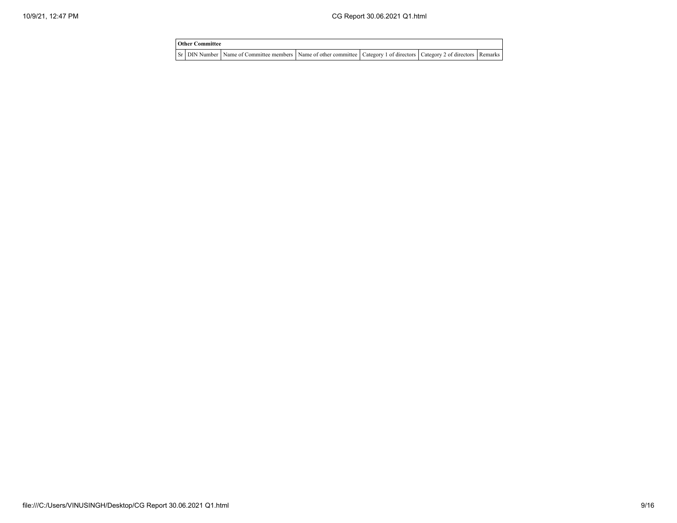| <b>Other Committee</b> |                                                                                                                               |  |  |
|------------------------|-------------------------------------------------------------------------------------------------------------------------------|--|--|
|                        | Sr DIN Number Name of Committee members Name of other committee   Category 1 of directors   Category 2 of directors   Remarks |  |  |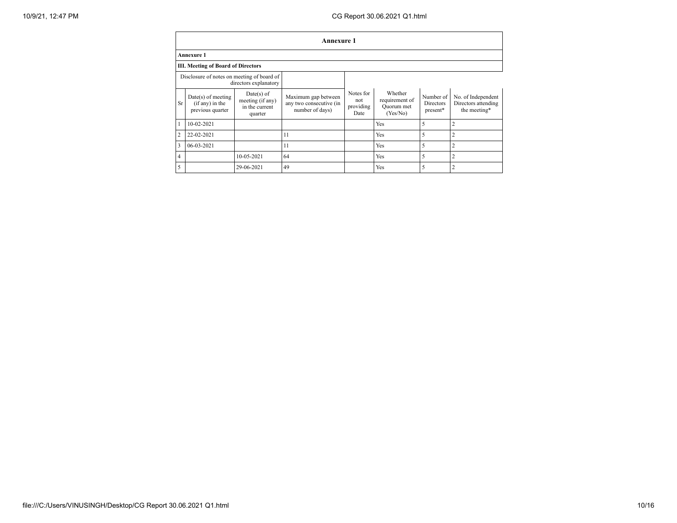|                | Annexure 1                                                  |                                                               |                                                                   |                                       |                                                     |                                           |                                                           |  |  |  |
|----------------|-------------------------------------------------------------|---------------------------------------------------------------|-------------------------------------------------------------------|---------------------------------------|-----------------------------------------------------|-------------------------------------------|-----------------------------------------------------------|--|--|--|
|                | <b>Annexure 1</b>                                           |                                                               |                                                                   |                                       |                                                     |                                           |                                                           |  |  |  |
|                | <b>III. Meeting of Board of Directors</b>                   |                                                               |                                                                   |                                       |                                                     |                                           |                                                           |  |  |  |
|                | Disclosure of notes on meeting of board of                  | directors explanatory                                         |                                                                   |                                       |                                                     |                                           |                                                           |  |  |  |
| <b>Sr</b>      | $Date(s)$ of meeting<br>(if any) in the<br>previous quarter | $Date(s)$ of<br>meeting (if any)<br>in the current<br>quarter | Maximum gap between<br>any two consecutive (in<br>number of days) | Notes for<br>not<br>providing<br>Date | Whether<br>requirement of<br>Quorum met<br>(Yes/No) | Number of<br><b>Directors</b><br>present* | No. of Independent<br>Directors attending<br>the meeting* |  |  |  |
| 1              | 10-02-2021                                                  |                                                               |                                                                   |                                       | Yes                                                 | 5                                         | $\overline{2}$                                            |  |  |  |
| $\overline{2}$ | 22-02-2021                                                  |                                                               | 11                                                                |                                       | Yes                                                 | 5                                         | $\overline{2}$                                            |  |  |  |
| 3              | 06-03-2021                                                  |                                                               | 11                                                                |                                       | Yes                                                 | 5                                         | $\overline{2}$                                            |  |  |  |
| 4              |                                                             | 10-05-2021                                                    | 64                                                                |                                       | Yes                                                 | 5                                         | $\overline{2}$                                            |  |  |  |
| 5              |                                                             | 29-06-2021                                                    | 49                                                                |                                       | Yes                                                 | 5                                         | $\overline{2}$                                            |  |  |  |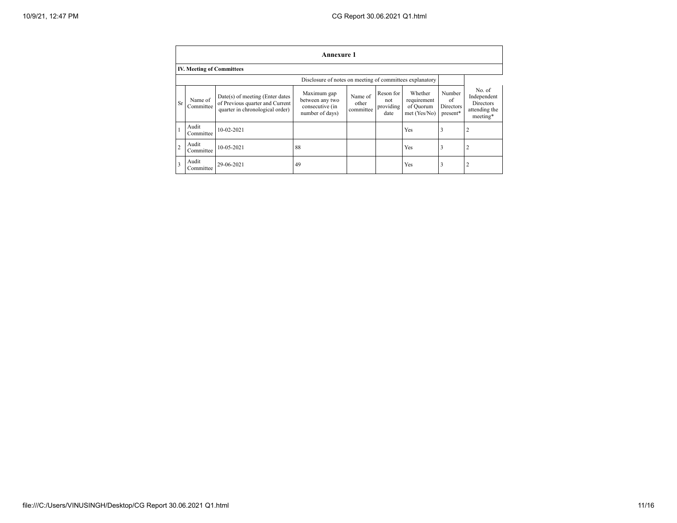|                | Annexure 1                       |                                                                                                       |                                                                      |                               |                                       |                                                     |                                       |                                                                        |  |  |
|----------------|----------------------------------|-------------------------------------------------------------------------------------------------------|----------------------------------------------------------------------|-------------------------------|---------------------------------------|-----------------------------------------------------|---------------------------------------|------------------------------------------------------------------------|--|--|
|                | <b>IV. Meeting of Committees</b> |                                                                                                       |                                                                      |                               |                                       |                                                     |                                       |                                                                        |  |  |
|                |                                  |                                                                                                       | Disclosure of notes on meeting of committees explanatory             |                               |                                       |                                                     |                                       |                                                                        |  |  |
| <b>Sr</b>      | Name of<br>Committee             | Date(s) of meeting (Enter dates<br>of Previous quarter and Current<br>quarter in chronological order) | Maximum gap<br>between any two<br>consecutive (in<br>number of days) | Name of<br>other<br>committee | Reson for<br>not<br>providing<br>date | Whether<br>requirement<br>of Quorum<br>met (Yes/No) | Number<br>of<br>Directors<br>present* | No. of<br>Independent<br><b>Directors</b><br>attending the<br>meeting* |  |  |
|                | Audit<br>Committee               | 10-02-2021                                                                                            |                                                                      |                               |                                       | Yes                                                 | 3                                     | $\overline{2}$                                                         |  |  |
| $\overline{2}$ | Audit<br>Committee               | 10-05-2021                                                                                            | 88                                                                   |                               |                                       | Yes                                                 | 3                                     | 2                                                                      |  |  |
| 3              | Audit<br>Committee               | 29-06-2021                                                                                            | 49                                                                   |                               |                                       | Yes                                                 | 3                                     | 2                                                                      |  |  |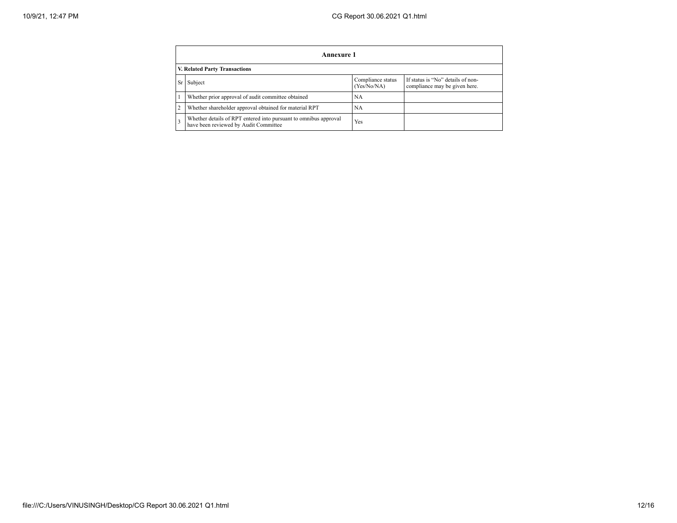|                                                                                                                                | Annexure 1                                                                                                |     |  |  |  |  |  |  |  |  |
|--------------------------------------------------------------------------------------------------------------------------------|-----------------------------------------------------------------------------------------------------------|-----|--|--|--|--|--|--|--|--|
|                                                                                                                                | V. Related Party Transactions                                                                             |     |  |  |  |  |  |  |  |  |
| If status is "No" details of non-<br>Compliance status<br>Subject<br><b>Sr</b><br>(Yes/No/NA)<br>compliance may be given here. |                                                                                                           |     |  |  |  |  |  |  |  |  |
|                                                                                                                                | Whether prior approval of audit committee obtained                                                        | NA  |  |  |  |  |  |  |  |  |
| $\overline{2}$                                                                                                                 | Whether shareholder approval obtained for material RPT                                                    | NA  |  |  |  |  |  |  |  |  |
|                                                                                                                                | Whether details of RPT entered into pursuant to omnibus approval<br>have been reviewed by Audit Committee | Yes |  |  |  |  |  |  |  |  |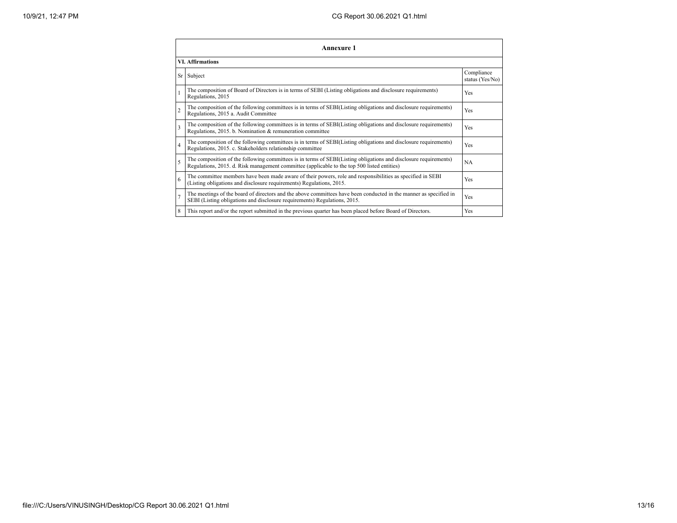| Annexure 1              |                                                                                                                                                                                                                 |                               |  |  |
|-------------------------|-----------------------------------------------------------------------------------------------------------------------------------------------------------------------------------------------------------------|-------------------------------|--|--|
| <b>VI. Affirmations</b> |                                                                                                                                                                                                                 |                               |  |  |
|                         | Sr Subject                                                                                                                                                                                                      | Compliance<br>status (Yes/No) |  |  |
|                         | The composition of Board of Directors is in terms of SEBI (Listing obligations and disclosure requirements)<br>Regulations, 2015                                                                                | Yes                           |  |  |
| $\overline{2}$          | The composition of the following committees is in terms of SEBI(Listing obligations and disclosure requirements)<br>Regulations, 2015 a. Audit Committee                                                        | Yes                           |  |  |
| 3                       | The composition of the following committees is in terms of SEBI(Listing obligations and disclosure requirements)<br>Regulations, 2015. b. Nomination & remuneration committee                                   | Yes                           |  |  |
| $\overline{4}$          | The composition of the following committees is in terms of SEBI(Listing obligations and disclosure requirements)<br>Regulations, 2015. c. Stakeholders relationship committee                                   | Yes                           |  |  |
| 5                       | The composition of the following committees is in terms of SEBI(Listing obligations and disclosure requirements)<br>Regulations, 2015. d. Risk management committee (applicable to the top 500 listed entities) | <b>NA</b>                     |  |  |
| 6                       | The committee members have been made aware of their powers, role and responsibilities as specified in SEBI<br>(Listing obligations and disclosure requirements) Regulations, 2015.                              | Yes                           |  |  |
|                         | The meetings of the board of directors and the above committees have been conducted in the manner as specified in<br>SEBI (Listing obligations and disclosure requirements) Regulations, 2015.                  | Yes                           |  |  |
| 8                       | This report and/or the report submitted in the previous quarter has been placed before Board of Directors.                                                                                                      | Yes                           |  |  |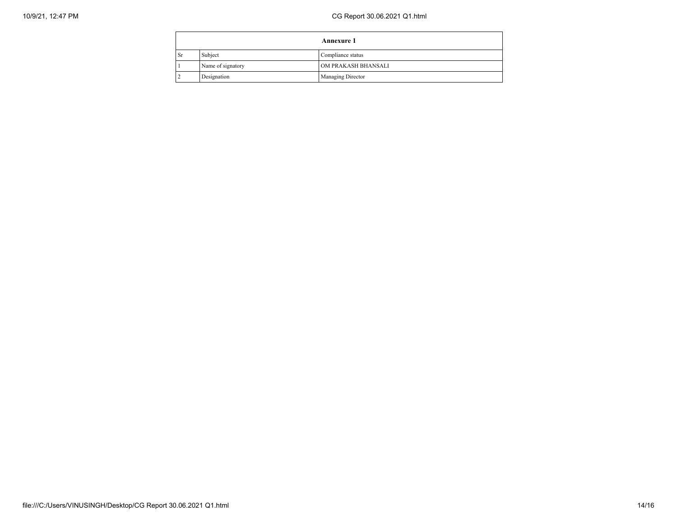| <b>Annexure 1</b> |                   |                          |
|-------------------|-------------------|--------------------------|
| <b>Sr</b>         | Subject           | Compliance status        |
|                   | Name of signatory | OM PRAKASH BHANSALI      |
|                   | Designation       | <b>Managing Director</b> |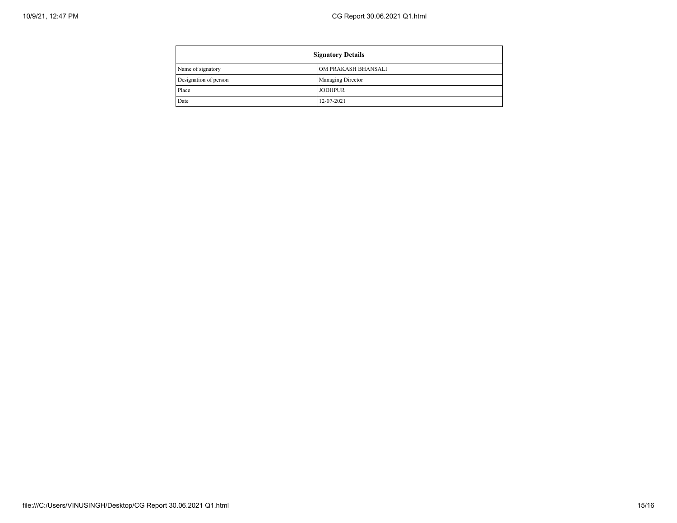| <b>Signatory Details</b> |                          |
|--------------------------|--------------------------|
| Name of signatory        | OM PRAKASH BHANSALI      |
| Designation of person    | <b>Managing Director</b> |
| Place                    | <b>JODHPUR</b>           |
| Date                     | 12-07-2021               |